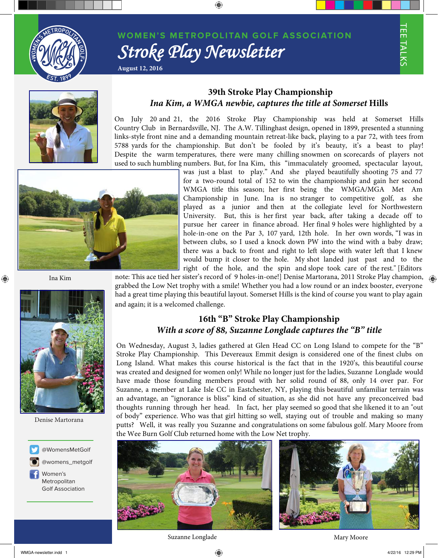

Din Medium, PMS 287

## **W OM EN'S METROPOLITAN GOLF ASSOCIATION** *Stroke Play Newsletter*

TEE TALKS



#### **39th Stroke Play Championship** *Ina Kim, a WMGA newbie, captures the title at Somerset* **Hills**

On July 20 and 21, the 2016 Stroke Play Championship was held at Somerset Hills Country Club in Bernardsville, NJ. The A.W. Tillinghast design, opened in 1899, presented a stunning links-style front nine and a demanding mountain retreat-like back, playing to a par 72, with tees from 5788 yards for the championship. But don't be fooled by it's beauty, it's a beast to play! Despite the warm temperatures, there were many chilling snowmen on scorecards of players not used to such humbling numbers. But, for Ina Kim, this "immaculately groomed, spectacular layout,



**August 12, 2016**

was just a blast to play." And she played beautifully shooting 75 and 77 for a two-round total of 152 to win the championship and gain her second WMGA title this season; her first being the WMGA/MGA Met Am Championship in June. Ina is no stranger to competitive golf, as she played as a junior and then at the collegiate level for Northwestern University. But, this is her first year back, after taking a decade off to pursue her career in finance abroad. Her final 9 holes were highlighted by a hole-in-one on the Par 3, 107 yard, 12th hole. In her own words, "I was in between clubs, so I used a knock down PW into the wind with a baby draw; there was a back to front and right to left slope with water left that I knew would bump it closer to the hole. My shot landed just past and to the right of the hole, and the spin and slope took care of the rest." [Editors

Ina Kim

⊕



Denise Martorana



@womens\_metgolf Metropolitan Golf Association

note: This ace tied her sister's record of 9 holes-in-one!] Denise Martorana, 2011 Stroke Play champion,  $\bigoplus$ grabbed the Low Net trophy with a smile! Whether you had a low round or an index booster, everyone had a great time playing this beautiful layout. Somerset Hills is the kind of course you want to play again .and again; it is a welcomed challenge.

### **16th "B" Stroke Play Championship** *With a score of 88, Suzanne Longlade captures the "B" title*

On Wednesday, August 3, ladies gathered at Glen Head CC on Long Island to compete for the "B" Stroke Play Championship. This Devereaux Emmit design is considered one of the finest clubs on Long Island. What makes this course historical is the fact that in the 1920's, this beautiful course was created and designed for women only! While no longer just for the ladies, Suzanne Longlade would have made those founding members proud with her solid round of 88, only 14 over par. For Suzanne, a member at Lake Isle CC in Eastchester, NY, playing this beautiful unfamiliar terrain was an advantage, an "ignorance is bliss" kind of situation, as she did not have any preconceived bad thoughts running through her head. In fact, her play seemed so good that she likened it to an "out of body" experience. Who was that girl hitting so well, staying out of trouble and making so many putts? Well, it was really you Suzanne and congratulations on some fabulous golf. Mary Moore from the Wee Burn Golf Club returned home with the Low Net trophy.





Suzanne Longlade Mary Moore